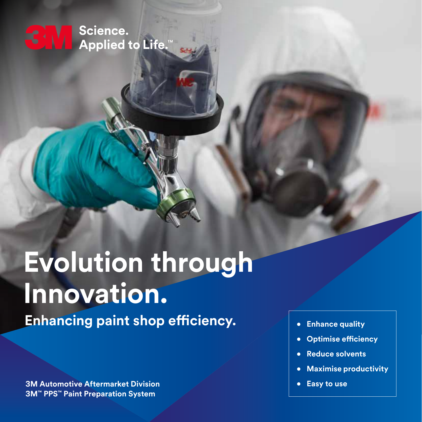Science. **Applied to Life.** 

# **Evolution through Innovation. Enhancing paint shop efficiency.**

**3M Automotive Aftermarket Division 3M™ PPS™ Paint Preparation System**

- **• Enhance quality**
- **• Optimise efficiency**
- **• Reduce solvents**
- **• Maximise productivity**
- **• Easy to use**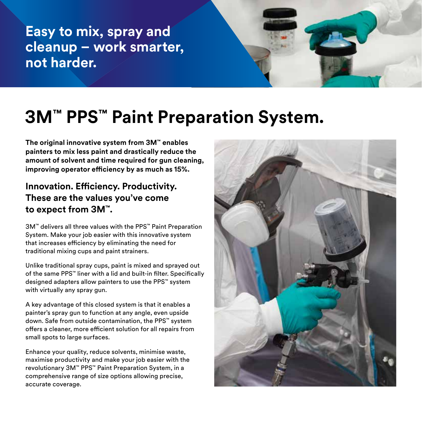**Easy to mix, spray and cleanup – work smarter, not harder.**



## **3M™ PPS™ Paint Preparation System.**

**The original innovative system from 3M™ enables painters to mix less paint and drastically reduce the amount of solvent and time required for gun cleaning, improving operator efficiency by as much as 15%.**

### **Innovation. Efficiency. Productivity. These are the values you've come to expect from 3M™.**

3M™ delivers all three values with the PPS™ Paint Preparation System. Make your job easier with this innovative system that increases efficiency by eliminating the need for traditional mixing cups and paint strainers.

Unlike traditional spray cups, paint is mixed and sprayed out of the same PPS™ liner with a lid and built-in filter. Specifically designed adapters allow painters to use the PPS™ system with virtually any spray gun.

A key advantage of this closed system is that it enables a painter's spray gun to function at any angle, even upside down. Safe from outside contamination, the PPS™ system offers a cleaner, more efficient solution for all repairs from small spots to large surfaces.

Enhance your quality, reduce solvents, minimise waste, maximise productivity and make your job easier with the revolutionary 3M™ PPS™ Paint Preparation System, in a comprehensive range of size options allowing precise, accurate coverage.

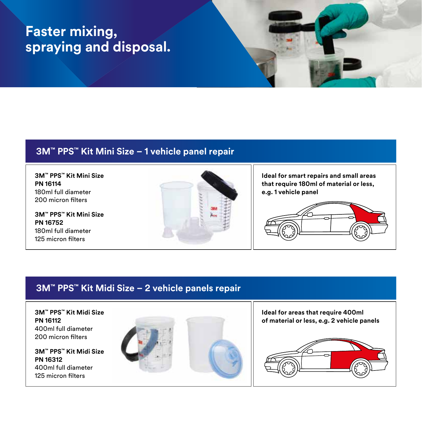### **Faster mixing, spraying and disposal.**

#### **3M™ PPS™ Kit Mini Size – 1 vehicle panel repair**

**3M™ PPS™ Kit Mini Size PN 16114** 180ml full diameter 200 micron filters

**3M™ PPS™ Kit Mini Size PN 16752** 180ml full diameter 125 micron filters



**Ideal for smart repairs and small areas that require 180ml of material or less, e.g. 1 vehicle panel**



### **3M™ PPS™ Kit Midi Size – 2 vehicle panels repair**

**3M™ PPS™ Kit Midi Size PN 16112** 400ml full diameter 200 micron filters

**3M™ PPS™ Kit Midi Size PN 16312** 400ml full diameter 125 micron filters



**Ideal for areas that require 400ml of material or less, e.g. 2 vehicle panels**

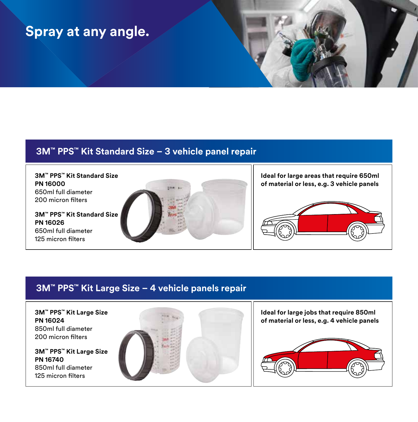### **Spray at any angle.**

### **3M™ PPS™ Kit Standard Size – 3 vehicle panel repair**

**3M™ PPS™ Kit Standard Size PN 16000** 650ml full diameter 200 micron filters

**3M™ PPS™ Kit Standard Size PN 16026** 650ml full diameter 125 micron filters



**Ideal for large areas that require 650ml of material or less, e.g. 3 vehicle panels**



#### **3M™ PPS™ Kit Large Size – 4 vehicle panels repair**

**3M™ PPS™ Kit Large Size PN 16024** 850ml full diameter 200 micron filters

**3M™ PPS™ Kit Large Size PN 16740** 850ml full diameter 125 micron filters



**Ideal for large jobs that require 850ml of material or less, e.g. 4 vehicle panels**

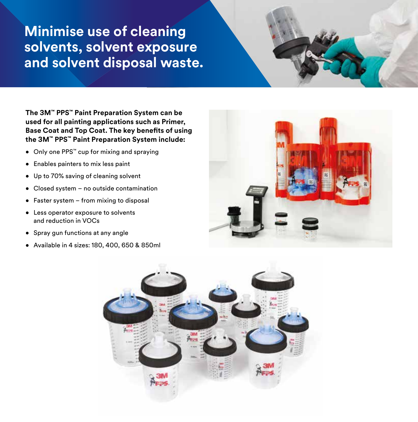### **Minimise use of cleaning solvents, solvent exposure and solvent disposal waste.**

**The 3M™ PPS™ Paint Preparation System can be used for all painting applications such as Primer, Base Coat and Top Coat. The key benefits of using the 3M™ PPS™ Paint Preparation System include:**

- Only one PPS™ cup for mixing and spraying
- Enables painters to mix less paint
- Up to 70% saving of cleaning solvent
- Closed system no outside contamination
- Faster system from mixing to disposal
- Less operator exposure to solvents and reduction in VOCs
- Spray gun functions at any angle
- Available in 4 sizes: 180, 400, 650 & 850ml